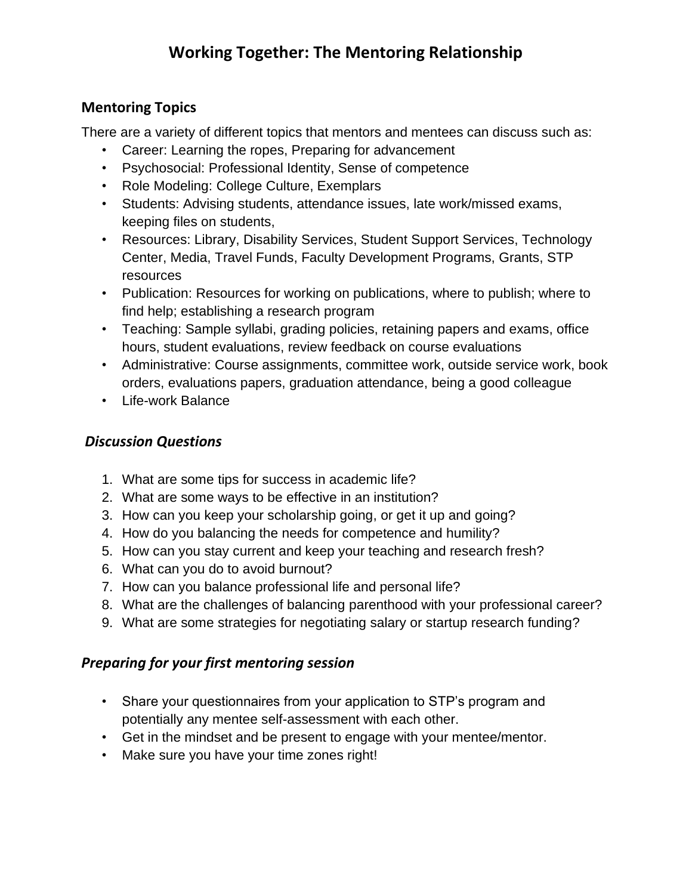# **Working Together: The Mentoring Relationship**

### **Mentoring Topics**

There are a variety of different topics that mentors and mentees can discuss such as:

- Career: Learning the ropes, Preparing for advancement
- Psychosocial: Professional Identity, Sense of competence
- Role Modeling: College Culture, Exemplars
- Students: Advising students, attendance issues, late work/missed exams, keeping files on students,
- Resources: Library, Disability Services, Student Support Services, Technology Center, Media, Travel Funds, Faculty Development Programs, Grants, STP resources
- Publication: Resources for working on publications, where to publish; where to find help; establishing a research program
- Teaching: Sample syllabi, grading policies, retaining papers and exams, office hours, student evaluations, review feedback on course evaluations
- Administrative: Course assignments, committee work, outside service work, book orders, evaluations papers, graduation attendance, being a good colleague
- Life-work Balance

## *Discussion Questions*

- 1. What are some tips for success in academic life?
- 2. What are some ways to be effective in an institution?
- 3. How can you keep your scholarship going, or get it up and going?
- 4. How do you balancing the needs for competence and humility?
- 5. How can you stay current and keep your teaching and research fresh?
- 6. What can you do to avoid burnout?
- 7. How can you balance professional life and personal life?
- 8. What are the challenges of balancing parenthood with your professional career?
- 9. What are some strategies for negotiating salary or startup research funding?

## *Preparing for your first mentoring session*

- Share your questionnaires from your application to STP's program and potentially any mentee self-assessment with each other.
- Get in the mindset and be present to engage with your mentee/mentor.
- Make sure you have your time zones right!